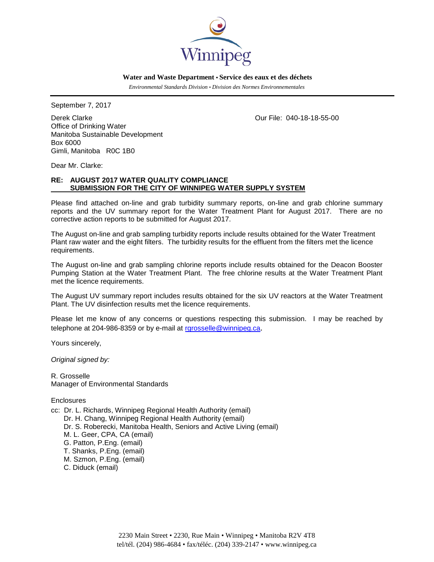

 **Water and Waste Department • Service des eaux et des déchets**

 *Environmental Standards Division • Division des Normes Environnementales*

September 7, 2017

Derek Clarke Our File: 040-18-18-55-00 Office of Drinking Water Manitoba Sustainable Development Box 6000 Gimli, Manitoba R0C 1B0

Dear Mr. Clarke:

# **RE: AUGUST 2017 WATER QUALITY COMPLIANCE SUBMISSION FOR THE CITY OF WINNIPEG WATER SUPPLY SYSTEM**

Please find attached on-line and grab turbidity summary reports, on-line and grab chlorine summary reports and the UV summary report for the Water Treatment Plant for August 2017. There are no corrective action reports to be submitted for August 2017.

The August on-line and grab sampling turbidity reports include results obtained for the Water Treatment Plant raw water and the eight filters. The turbidity results for the effluent from the filters met the licence requirements.

The August on-line and grab sampling chlorine reports include results obtained for the Deacon Booster Pumping Station at the Water Treatment Plant. The free chlorine results at the Water Treatment Plant met the licence requirements.

The August UV summary report includes results obtained for the six UV reactors at the Water Treatment Plant. The UV disinfection results met the licence requirements.

Please let me know of any concerns or questions respecting this submission. I may be reached by telephone at 204-986-8359 or by e-mail at [rgrosselle@winnipeg.ca](mailto:rgrosselle@winnipeg.ca).

Yours sincerely,

*Original signed by:*

R. Grosselle Manager of Environmental Standards

**Enclosures** 

cc: Dr. L. Richards, Winnipeg Regional Health Authority (email) Dr. H. Chang, Winnipeg Regional Health Authority (email) Dr. S. Roberecki, Manitoba Health, Seniors and Active Living (email) M. L. Geer, CPA, CA (email) G. Patton, P.Eng. (email) T. Shanks, P.Eng. (email) M. Szmon, P.Eng. (email) C. Diduck (email)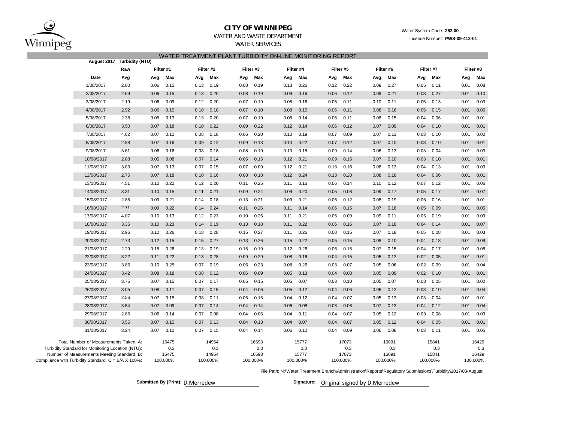

# **CITY OF WINNIPEG**

# Water System Code: **252.00**

Licence Number: **PWS-09-412-01**

## WATER AND WASTE DEPARTMENTWATER SERVICES

## WATER TREATMENT PLANT TURBIDITY ON-LINE MONITORING REPORT

|                                                                                                                                            |                                                     | August 2017 Turbidity (NTU) |                       |          |                       |           |                       |          |                       |           |                       |           |                       |          |                       |           |                       |           |  |
|--------------------------------------------------------------------------------------------------------------------------------------------|-----------------------------------------------------|-----------------------------|-----------------------|----------|-----------------------|-----------|-----------------------|----------|-----------------------|-----------|-----------------------|-----------|-----------------------|----------|-----------------------|-----------|-----------------------|-----------|--|
|                                                                                                                                            |                                                     | Raw                         | Filter #1             |          |                       | Filter #2 | Filter #3             |          |                       | Filter #4 |                       | Filter #5 | Filter #6             |          |                       | Filter #7 |                       | Filter #8 |  |
|                                                                                                                                            | Date                                                | Avg                         | Avg                   | Max      | Avg                   | Max       | Avg                   | Max      | Avg                   | Max       | Avg                   | Max       | Avg                   | Max      | Avg                   | Max       | Avg                   | Max       |  |
|                                                                                                                                            | 1/08/2017                                           | 2.80                        | 0.06                  | 0.15     | 0.13                  | 0.19      | 0.08                  | 0.19     | 0.13                  | 0.26      | 0.12                  | 0.22      | 0.09                  | 0.27     | 0.05                  | 0.11      | 0.01                  | 0.08      |  |
|                                                                                                                                            | 2/08/2017                                           | 2.69                        | 0.06                  | 0.15     | 0.13                  | 0.20      | 0.08                  | 0.19     | 0.09                  | 0.16      | 0.06                  | 0.12      | 0.09                  | 0.21     | 0.08                  | 0.27      | 0.01                  | 0.10      |  |
|                                                                                                                                            | 3/08/2017                                           | 2.19                        | 0.06                  | 0.09     | 0.12                  | 0.20      | 0.07                  | 0.19     | 0.08                  | 0.16      | 0.05                  | 0.11      | 0.10                  | 0.11     | 0.05                  | 0.13      | 0.01                  | 0.03      |  |
|                                                                                                                                            | 4/08/2017                                           | 2.92                        | 0.06                  | 0.15     | 0.10                  | 0.18      | 0.07                  | 0.10     | 0.08                  | 0.15      | 0.06                  | 0.11      | 0.08                  | 0.16     | 0.05                  | 0.15      | 0.01                  | 0.06      |  |
|                                                                                                                                            | 5/08/2017                                           | 2.38                        | 0.05                  | 0.13     | 0.13                  | 0.20      | 0.07                  | 0.19     | 0.08                  | 0.14      | 0.06                  | 0.11      | 0.08                  | 0.15     | 0.04                  | 0.06      | 0.01                  | 0.01      |  |
|                                                                                                                                            | 6/08/2017                                           | 3.50                        | 0.07                  | 0.18     | 0.10                  | 0.22      | 0.09                  | 0.22     | 0.12                  | 0.14      | 0.06                  | 0.12      | 0.07                  | 0.09     | 0.04                  | 0.10      | 0.01                  | 0.01      |  |
|                                                                                                                                            | 7/08/2017                                           | 4.02                        | 0.07                  | 0.10     | 0.08                  | 0.18      | 0.06                  | 0.20     | 0.10                  | 0.19      | 0.07                  | 0.09      | 0.07                  | 0.13     | 0.03                  | 0.10      | 0.01                  | 0.02      |  |
|                                                                                                                                            | 8/08/2017                                           | 2.88                        | 0.07                  | 0.16     | 0.09                  | 0.12      | 0.09                  | 0.13     | 0.10                  | 0.22      | 0.07                  | 0.12      | 0.07                  | 0.10     | 0.03                  | 0.10      | 0.01                  | 0.01      |  |
|                                                                                                                                            | 9/08/2017                                           | 3.61                        | 0.06                  | 0.16     | 0.08                  | 0.18      | 0.08                  | 0.19     | 0.10                  | 0.15      | 0.09                  | 0.14      | 0.06                  | 0.13     | 0.03                  | 0.04      | 0.01                  | 0.03      |  |
|                                                                                                                                            | 10/08/2017                                          | 2.88                        | 0.05                  | 0.08     | 0.07                  | 0.14      | 0.06                  | 0.15     | 0.12                  | 0.21      | 0.09                  | 0.15      | 0.07                  | 0.10     | 0.03                  | 0.10      | 0.01                  | 0.01      |  |
|                                                                                                                                            | 11/08/2017                                          | 3.03                        | 0.07                  | 0.13     | 0.07                  | 0.15      | 0.07                  | 0.09     | 0.12                  | 0.21      | 0.13                  | 0.16      | 0.08                  | 0.13     | 0.04                  | 0.13      | 0.01                  | 0.03      |  |
|                                                                                                                                            | 12/08/2017                                          | 2.75                        | 0.07                  | 0.18     | 0.10                  | 0.16      | 0.08                  | 0.18     | 0.12                  | 0.24      | 0.13                  | 0.20      | 0.08                  | 0.18     | 0.04                  | 0.06      | 0.01                  | 0.01      |  |
|                                                                                                                                            | 13/08/2017                                          | 4.51                        | 0.10                  | 0.22     | 0.12                  | 0.20      | 0.11                  | 0.25     | 0.11                  | 0.16      | 0.06                  | 0.14      | 0.10                  | 0.12     | 0.07                  | 0.12      | 0.01                  | 0.06      |  |
|                                                                                                                                            | 14/08/2017                                          | 3.31                        | 0.10                  | 0.15     | 0.11                  | 0.21      | 0.09                  | 0.24     | 0.09                  | 0.20      | 0.05                  | 0.08      | 0.09                  | 0.17     | 0.05                  | 0.17      | 0.01                  | 0.07      |  |
|                                                                                                                                            | 15/08/2017                                          | 2.85                        | 0.09                  | 0.21     | 0.14                  | 0.18      | 0.13                  | 0.21     | 0.09                  | 0.21      | 0.06                  | 0.12      | 0.08                  | 0.19     | 0.05                  | 0.16      | 0.01                  | 0.01      |  |
|                                                                                                                                            | 16/08/2017                                          | 2.71                        | 0.09                  | 0.22     | 0.14                  | 0.24      | 0.11                  | 0.26     | 0.11                  | 0.14      | 0.06                  | 0.15      | 0.07                  | 0.16     | 0.05                  | 0.09      | 0.01                  | 0.05      |  |
|                                                                                                                                            | 17/08/2017                                          | 4.07                        | 0.10                  | 0.13     | 0.12                  | 0.23      | 0.10                  | 0.26     | 0.11                  | 0.21      | 0.05                  | 0.09      | 0.09                  | 0.11     | 0.05                  | 0.19      | 0.01                  | 0.09      |  |
|                                                                                                                                            | 18/08/2017                                          | 3.35                        | 0.10                  | 0.23     | 0.14                  | 0.19      | 0.13                  | 0.18     | 0.11                  | 0.22      | 0.06                  | 0.16      | 0.07                  | 0.18     | 0.04                  | 0.14      | 0.01                  | 0.07      |  |
|                                                                                                                                            | 19/08/2017                                          | 2.96                        | 0.12                  | 0.26     | 0.18                  | 0.28      | 0.15                  | 0.27     | 0.11                  | 0.26      | 0.08                  | 0.15      | 0.07                  | 0.18     | 0.05                  | 0.08      | 0.01                  | 0.03      |  |
|                                                                                                                                            | 20/08/2017                                          | 2.73                        | 0.12                  | 0.15     | 0.15                  | 0.27      | 0.13                  | 0.26     | 0.15                  | 0.22      | 0.05                  | 0.15      | 0.08                  | 0.10     | 0.04                  | 0.18      | 0.01                  | 0.09      |  |
|                                                                                                                                            | 21/08/2017                                          | 2.29                        | 0.15                  | 0.26     | 0.13                  | 0.19      | 0.15                  | 0.19     | 0.12                  | 0.26      | 0.06                  | 0.15      | 0.07                  | 0.15     | 0.04                  | 0.17      | 0.01                  | 0.08      |  |
|                                                                                                                                            | 22/08/2017                                          | 3.22                        | 0.11                  | 0.22     | 0.13                  | 0.28      | 0.09                  | 0.29     | 0.08                  | 0.16      | 0.04                  | 0.15      | 0.05                  | 0.12     | 0.02                  | 0.05      | 0.01                  | 0.01      |  |
|                                                                                                                                            | 23/08/2017                                          | 3.86                        | 0.10                  | 0.25     | 0.07                  | 0.19      | 0.06                  | 0.23     | 0.08                  | 0.26      | 0.03                  | 0.07      | 0.05                  | 0.06     | 0.02                  | 0.09      | 0.01                  | 0.04      |  |
|                                                                                                                                            | 24/08/2017                                          | 3.42                        | 0.08                  | 0.18     | 0.08                  | 0.12      | 0.06                  | 0.09     | 0.05                  | 0.13      | 0.04                  | 0.08      | 0.05                  | 0.09     | 0.02                  | 0.10      | 0.01                  | 0.01      |  |
|                                                                                                                                            | 25/08/2017                                          | 3.75                        | 0.07                  | 0.15     | 0.07                  | 0.17      | 0.05                  | 0.15     | 0.05                  | 0.07      | 0.03                  | 0.10      | 0.05                  | 0.07     | 0.03                  | 0.05      | 0.01                  | 0.02      |  |
|                                                                                                                                            | 26/08/2017                                          | 3.05                        | 0.08                  | 0.11     | 0.07                  | 0.15      | 0.04                  | 0.06     | 0.05                  | 0.12      | 0.04                  | 0.06      | 0.06                  | 0.12     | 0.03                  | 0.10      | 0.01                  | 0.04      |  |
|                                                                                                                                            | 27/08/2017                                          | 2.56                        | 0.07                  | 0.15     | 0.08                  | 0.11      | 0.05                  | 0.15     | 0.04                  | 0.12      | 0.04                  | 0.07      | 0.05                  | 0.13     | 0.03                  | 0.04      | 0.01                  | 0.01      |  |
|                                                                                                                                            | 28/08/2017                                          | 3.54                        | 0.07                  | 0.09     | 0.07                  | 0.14      | 0.04                  | 0.14     | 0.06                  | 0.08      | 0.03                  | 0.08      | 0.07                  | 0.13     | 0.04                  | 0.12      | 0.01                  | 0.04      |  |
|                                                                                                                                            | 29/08/2017                                          | 2.85                        | 0.06                  | 0.14     | 0.07                  | 0.08      | 0.04                  | 0.05     | 0.04                  | 0.11      | 0.04                  | 0.07      | 0.05                  | 0.12     | 0.03                  | 0.08      | 0.01                  | 0.03      |  |
|                                                                                                                                            | 30/08/2017                                          | 3.55                        | 0.07                  | 0.15     | 0.07                  | 0.13      | 0.04                  | 0.13     | 0.04                  | 0.07      | 0.04                  | 0.07      | 0.05                  | 0.12     | 0.04                  | 0.05      | 0.01                  | 0.01      |  |
|                                                                                                                                            | 31/08/2017                                          | 3.24                        | 0.07                  | 0.10     | 0.07                  | 0.15      | 0.04                  | 0.14     | 0.06                  | 0.12      | 0.04                  | 0.09      | 0.06                  | 0.08     | 0.03                  | 0.11      | 0.01                  | 0.05      |  |
| Total Number of Measurements Taken, A:<br>Turbidity Standard for Monitoring Location (NTU):<br>Number of Measurements Meeting Standard, B: |                                                     |                             | 16475<br>0.3<br>16475 |          | 14954<br>0.3<br>14954 |           | 16593<br>0.3<br>16593 |          | 15777<br>0.3<br>15777 |           | 17073<br>0.3<br>17073 |           | 16091<br>0.3<br>16091 |          | 15841<br>0.3<br>15841 |           | 16429<br>0.3<br>16429 |           |  |
|                                                                                                                                            | Compliance with Turbidity Standard, C = B/A X 100%: |                             |                       | 100.000% |                       | 100.000%  |                       | 100.000% |                       | 100.000%  |                       | 100.000%  |                       | 100.000% |                       | 100.000%  |                       | 100.000%  |  |

File Path: N:\Water Treatment Branch\Administration\Reports\Regulatory Submissions\Turbidity\2017\08-August

Submitted By (Print): D.Merredew **Signature:** Original signed by D.Merredew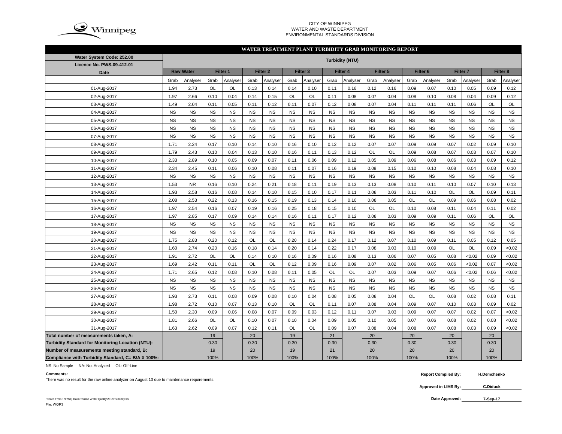

#### CITY OF WINNIPEG WATER AND WASTE DEPARTMENTENVIRONMENTAL STANDARDS DIVISION

#### **WATER TREATMENT PLANT TURBIDITY GRAB MONITORING REPORT**

| Water System Code: 252.00                          | <b>Turbidity (NTU)</b> |           |             |           |           |                     |           |                     |           |           |           |           |                     |           |                     |           |           |           |
|----------------------------------------------------|------------------------|-----------|-------------|-----------|-----------|---------------------|-----------|---------------------|-----------|-----------|-----------|-----------|---------------------|-----------|---------------------|-----------|-----------|-----------|
| Licence No. PWS-09-412-01                          |                        |           |             |           |           |                     |           |                     |           |           |           |           |                     |           |                     |           |           |           |
| Date                                               | <b>Raw Water</b>       |           | Filter 1    |           |           | Filter <sub>2</sub> |           | Filter <sub>3</sub> |           | Filter 4  |           | Filter 5  | Filter <sub>6</sub> |           | Filter <sub>7</sub> |           | Filter 8  |           |
|                                                    | Grab                   | Analyser  | Grab        | Analyser  | Grab      | Analyser            | Grab      | Analyser            | Grab      | Analyser  | Grab      | Analyser  | Grab                | Analyser  | Grab                | Analyser  | Grab      | Analyser  |
| 01-Aug-2017                                        | 1.94                   | 2.73      | OL          | OL        | 0.13      | 0.14                | 0.14      | 0.10                | 0.11      | 0.16      | 0.12      | 0.16      | 0.09                | 0.07      | 0.10                | 0.05      | 0.09      | 0.12      |
| 02-Aug-2017                                        | 1.97                   | 2.66      | 0.10        | 0.04      | 0.14      | 0.15                | OL        | OL                  | 0.11      | 0.08      | 0.07      | 0.04      | 0.08                | 0.10      | 0.08                | 0.04      | 0.09      | 0.12      |
| 03-Aug-2017                                        | 1.49                   | 2.04      | 0.11        | 0.05      | 0.11      | 0.12                | 0.11      | 0.07                | 0.12      | 0.08      | 0.07      | 0.04      | 0.11                | 0.11      | 0.11                | 0.06      | OL        | OL        |
| 04-Aug-2017                                        | <b>NS</b>              | <b>NS</b> | <b>NS</b>   | <b>NS</b> | <b>NS</b> | <b>NS</b>           | <b>NS</b> | <b>NS</b>           | <b>NS</b> | <b>NS</b> | <b>NS</b> | <b>NS</b> | <b>NS</b>           | <b>NS</b> | <b>NS</b>           | <b>NS</b> | <b>NS</b> | <b>NS</b> |
| 05-Aug-2017                                        | <b>NS</b>              | <b>NS</b> | <b>NS</b>   | <b>NS</b> | <b>NS</b> | <b>NS</b>           | <b>NS</b> | <b>NS</b>           | <b>NS</b> | <b>NS</b> | <b>NS</b> | <b>NS</b> | <b>NS</b>           | <b>NS</b> | <b>NS</b>           | <b>NS</b> | <b>NS</b> | <b>NS</b> |
| 06-Aug-2017                                        | <b>NS</b>              | <b>NS</b> | <b>NS</b>   | <b>NS</b> | <b>NS</b> | <b>NS</b>           | <b>NS</b> | <b>NS</b>           | <b>NS</b> | <b>NS</b> | <b>NS</b> | <b>NS</b> | <b>NS</b>           | <b>NS</b> | <b>NS</b>           | <b>NS</b> | <b>NS</b> | <b>NS</b> |
| 07-Aug-2017                                        | <b>NS</b>              | <b>NS</b> | <b>NS</b>   | <b>NS</b> | <b>NS</b> | <b>NS</b>           | <b>NS</b> | <b>NS</b>           | <b>NS</b> | <b>NS</b> | <b>NS</b> | <b>NS</b> | <b>NS</b>           | <b>NS</b> | <b>NS</b>           | <b>NS</b> | <b>NS</b> | <b>NS</b> |
| 08-Aug-2017                                        | 1.71                   | 2.24      | 0.17        | 0.10      | 0.14      | 0.10                | 0.16      | 0.10                | 0.12      | 0.12      | 0.07      | 0.07      | 0.09                | 0.09      | 0.07                | 0.02      | 0.09      | 0.10      |
| 09-Aug-2017                                        | 1.79                   | 2.43      | 0.10        | 0.04      | 0.13      | 0.10                | 0.16      | 0.11                | 0.13      | 0.12      | <b>OL</b> | OL        | 0.09                | 0.08      | 0.07                | 0.03      | 0.07      | 0.10      |
| 10-Aug-2017                                        | 2.33                   | 2.89      | 0.10        | 0.05      | 0.09      | 0.07                | 0.11      | 0.06                | 0.09      | 0.12      | 0.05      | 0.09      | 0.06                | 0.08      | 0.06                | 0.03      | 0.09      | 0.12      |
| 11-Aug-2017                                        | 2.34                   | 2.45      | 0.11        | 0.06      | 0.10      | 0.08                | 0.11      | 0.07                | 0.16      | 0.19      | 0.08      | 0.15      | 0.10                | 0.10      | 0.08                | 0.04      | 0.08      | 0.10      |
| 12-Aug-2017                                        | <b>NS</b>              | <b>NS</b> | <b>NS</b>   | <b>NS</b> | <b>NS</b> | <b>NS</b>           | <b>NS</b> | <b>NS</b>           | <b>NS</b> | <b>NS</b> | <b>NS</b> | <b>NS</b> | <b>NS</b>           | <b>NS</b> | <b>NS</b>           | <b>NS</b> | <b>NS</b> | <b>NS</b> |
| 13-Aug-2017                                        | 1.53                   | <b>NR</b> | 0.16        | 0.10      | 0.24      | 0.21                | 0.18      | 0.11                | 0.19      | 0.13      | 0.13      | 0.08      | 0.10                | 0.11      | 0.10                | 0.07      | 0.10      | 0.13      |
| 14-Aug-2017                                        | 1.93                   | 2.58      | 0.16        | 0.08      | 0.14      | 0.10                | 0.15      | 0.10                | 0.17      | 0.11      | 0.08      | 0.03      | 0.11                | 0.10      | OL                  | OL        | 0.09      | 0.11      |
| 15-Aug-2017                                        | 2.08                   | 2.53      | 0.22        | 0.13      | 0.16      | 0.15                | 0.19      | 0.13                | 0.14      | 0.10      | 0.08      | 0.05      | OL                  | OL        | 0.09                | 0.06      | 0.08      | 0.02      |
| 16-Aug-2017                                        | 1.97                   | 2.54      | 0.16        | 0.07      | 0.19      | 0.16                | 0.25      | 0.18                | 0.15      | 0.10      | OL        | OL        | 0.10                | 0.08      | 0.11                | 0.04      | 0.11      | 0.02      |
| 17-Aug-2017                                        | 1.97                   | 2.85      | 0.17        | 0.09      | 0.14      | 0.14                | 0.16      | 0.11                | 0.17      | 0.12      | 0.08      | 0.03      | 0.09                | 0.09      | 0.11                | 0.06      | OL        | OL        |
| 18-Aug-2017                                        | <b>NS</b>              | <b>NS</b> | <b>NS</b>   | <b>NS</b> | <b>NS</b> | <b>NS</b>           | <b>NS</b> | <b>NS</b>           | <b>NS</b> | <b>NS</b> | <b>NS</b> | <b>NS</b> | <b>NS</b>           | <b>NS</b> | <b>NS</b>           | <b>NS</b> | <b>NS</b> | <b>NS</b> |
| 19-Aug-2017                                        | <b>NS</b>              | <b>NS</b> | <b>NS</b>   | <b>NS</b> | <b>NS</b> | <b>NS</b>           | <b>NS</b> | <b>NS</b>           | <b>NS</b> | <b>NS</b> | <b>NS</b> | <b>NS</b> | <b>NS</b>           | <b>NS</b> | <b>NS</b>           | <b>NS</b> | <b>NS</b> | <b>NS</b> |
| 20-Aug-2017                                        | 1.75                   | 2.83      | 0.20        | 0.12      | OL        | OL                  | 0.20      | 0.14                | 0.24      | 0.17      | 0.12      | 0.07      | 0.10                | 0.09      | 0.11                | 0.05      | 0.12      | 0.05      |
| 21-Aug-2017                                        | 1.60                   | 2.74      | 0.20        | 0.16      | 0.18      | 0.14                | 0.20      | 0.14                | 0.22      | 0.17      | 0.08      | 0.03      | 0.10                | 0.09      | OL                  | OL        | 0.09      | <0.02     |
| 22-Aug-2017                                        | 1.91                   | 2.72      | OL          | OL        | 0.14      | 0.10                | 0.16      | 0.09                | 0.16      | 0.08      | 0.13      | 0.06      | 0.07                | 0.05      | 0.08                | <0.02     | 0.09      | <0.02     |
| 23-Aug-2017                                        | 1.69                   | 2.42      | 0.11        | 0.11      | OL        | OL                  | 0.12      | 0.09                | 0.16      | 0.09      | 0.07      | 0.02      | 0.06                | 0.05      | 0.06                | <0.02     | 0.07      | <0.02     |
| 24-Aug-2017                                        | 1.71                   | 2.65      | 0.12        | 0.08      | 0.10      | 0.08                | 0.11      | 0.05                | <b>OL</b> | OL        | 0.07      | 0.03      | 0.09                | 0.07      | 0.06                | <0.02     | 0.06      | <0.02     |
| 25-Aug-2017                                        | NS                     | <b>NS</b> | <b>NS</b>   | <b>NS</b> | <b>NS</b> | <b>NS</b>           | <b>NS</b> | <b>NS</b>           | <b>NS</b> | NS        | <b>NS</b> | <b>NS</b> | <b>NS</b>           | <b>NS</b> | <b>NS</b>           | <b>NS</b> | <b>NS</b> | <b>NS</b> |
| 26-Aug-2017                                        | NS                     | <b>NS</b> | $_{\rm NS}$ | <b>NS</b> | <b>NS</b> | <b>NS</b>           | <b>NS</b> | <b>NS</b>           | <b>NS</b> | <b>NS</b> | <b>NS</b> | <b>NS</b> | <b>NS</b>           | <b>NS</b> | <b>NS</b>           | <b>NS</b> | <b>NS</b> | <b>NS</b> |
| 27-Aug-2017                                        | 1.93                   | 2.73      | 0.11        | 0.08      | 0.09      | 0.08                | 0.10      | 0.04                | 0.08      | 0.05      | 0.08      | 0.04      | OL                  | OL        | 0.08                | 0.02      | 0.08      | 0.11      |
| 28-Aug-2017                                        | 1.98                   | 2.72      | 0.10        | 0.07      | 0.13      | 0.10                | OL        | OL                  | 0.11      | 0.07      | 0.08      | 0.04      | 0.09                | 0.07      | 0.10                | 0.03      | 0.09      | 0.02      |
| 29-Aug-2017                                        | 1.50                   | 2.30      | 0.09        | 0.06      | 0.08      | 0.07                | 0.09      | 0.03                | 0.12      | 0.11      | 0.07      | 0.03      | 0.09                | 0.07      | 0.07                | 0.02      | 0.07      | <0.02     |
| 30-Aug-2017                                        | 1.81                   | 2.66      | OL          | <b>OL</b> | 0.10      | 0.07                | 0.10      | 0.04                | 0.09      | 0.05      | 0.10      | 0.05      | 0.07                | 0.06      | 0.08                | 0.02      | 0.08      | <0.02     |
| 31-Aug-2017                                        | 1.63                   | 2.62      | 0.09        | 0.07      | 0.12      | 0.11                | OL        | OL                  | 0.09      | 0.07      | 0.08      | 0.04      | 0.08                | 0.07      | 0.08                | 0.03      | 0.09      | <0.02     |
| Total number of measurements taken, A:             |                        |           | 19          |           | 20        |                     | 19        |                     | 21        |           | 20        |           | 20                  |           | 20                  |           | 20        |           |
| Turbidity Standard for Monitoring Location (NTU):  |                        |           | 0.30        |           | 0.30      |                     | 0.30      |                     | 0.30      |           | 0.30      |           | 0.30                |           | 0.30                |           | 0.30      |           |
| Number of measurements meeting standard, B:        |                        |           | 19          |           | 20        |                     | 19        |                     | 21        |           | 20        |           | 20                  |           | 20                  |           | 20        |           |
| Compliance with Turbidity Standard, C= B/A X 100%: |                        |           | 100%        |           | 100%      |                     | 100%      |                     | 100%      |           | 100%      |           | 100%                |           | 100%                |           | 100%      |           |

NS: No Sample NA: Not Analyzed OL: Off-Line

## **Comments:**

There was no result for the raw online analyzer on August 13 due to maintenance requirements.

 **Report Compiled By: H.Demchenko**

**Approved in LIMS By: C.Diduck**

**7-Sep-17**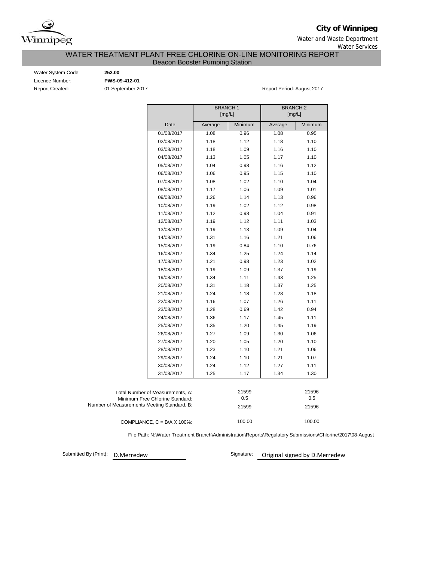

**City of Winnipeg**

Water and Waste Department Water Services

## WATER TREATMENT PLANT FREE CHLORINE ON-LINE MONITORING REPORT Deacon Booster Pumping Station

Water System Code: **252.00** Licence Number: **PWS-09-412-01**

Report Created: 01 September 2017 Report Period: August 2017

|                                             |                                  | <b>BRANCH1</b><br>[mg/L] |         | <b>BRANCH2</b><br>[mg/L] |         |  |  |  |  |  |
|---------------------------------------------|----------------------------------|--------------------------|---------|--------------------------|---------|--|--|--|--|--|
|                                             |                                  |                          |         |                          |         |  |  |  |  |  |
|                                             | Date                             | Average                  | Minimum | Average                  | Minimum |  |  |  |  |  |
|                                             | 01/08/2017                       | 1.08                     | 0.96    | 1.08                     | 0.95    |  |  |  |  |  |
|                                             | 02/08/2017                       | 1.18                     | 1.12    | 1.18                     | 1.10    |  |  |  |  |  |
|                                             | 03/08/2017                       | 1.18                     | 1.09    | 1.16                     | 1.10    |  |  |  |  |  |
|                                             | 04/08/2017                       | 1.13                     | 1.05    | 1.17                     | 1.10    |  |  |  |  |  |
|                                             | 05/08/2017                       | 1.04                     | 0.98    | 1.16                     | 1.12    |  |  |  |  |  |
|                                             | 06/08/2017                       | 1.06                     | 0.95    | 1.15                     | 1.10    |  |  |  |  |  |
|                                             | 07/08/2017                       | 1.08                     | 1.02    | 1.10                     | 1.04    |  |  |  |  |  |
|                                             | 08/08/2017                       | 1.17                     | 1.06    | 1.09                     | 1.01    |  |  |  |  |  |
|                                             | 09/08/2017                       | 1.26                     | 1.14    | 1.13                     | 0.96    |  |  |  |  |  |
|                                             | 10/08/2017                       | 1.19                     | 1.02    | 1.12                     | 0.98    |  |  |  |  |  |
|                                             | 11/08/2017                       | 1.12                     | 0.98    | 1.04                     | 0.91    |  |  |  |  |  |
|                                             | 12/08/2017                       | 1.19                     | 1.12    | 1.11                     | 1.03    |  |  |  |  |  |
|                                             | 13/08/2017                       | 1.19                     | 1.13    | 1.09                     | 1.04    |  |  |  |  |  |
|                                             | 14/08/2017                       | 1.31                     | 1.16    | 1.21                     | 1.06    |  |  |  |  |  |
|                                             | 15/08/2017                       | 1.19                     | 0.84    | 1.10                     | 0.76    |  |  |  |  |  |
|                                             | 16/08/2017                       | 1.34                     | 1.25    | 1.24                     | 1.14    |  |  |  |  |  |
|                                             | 17/08/2017                       | 1.21                     | 0.98    | 1.23                     | 1.02    |  |  |  |  |  |
|                                             | 18/08/2017                       | 1.19                     | 1.09    | 1.37                     | 1.19    |  |  |  |  |  |
|                                             | 19/08/2017                       | 1.34                     | 1.11    | 1.43                     | 1.25    |  |  |  |  |  |
|                                             | 20/08/2017                       | 1.31                     | 1.18    | 1.37                     | 1.25    |  |  |  |  |  |
|                                             | 21/08/2017                       | 1.24                     | 1.18    | 1.28                     | 1.18    |  |  |  |  |  |
|                                             | 22/08/2017                       | 1.16                     | 1.07    | 1.26                     | 1.11    |  |  |  |  |  |
|                                             | 23/08/2017                       | 1.28                     | 0.69    | 1.42                     | 0.94    |  |  |  |  |  |
|                                             | 24/08/2017                       | 1.36                     | 1.17    | 1.45                     | 1.11    |  |  |  |  |  |
|                                             | 25/08/2017                       | 1.35                     | 1.20    | 1.45                     | 1.19    |  |  |  |  |  |
|                                             | 26/08/2017                       | 1.27                     | 1.09    | 1.30                     | 1.06    |  |  |  |  |  |
|                                             | 27/08/2017                       | 1.20                     | 1.05    | 1.20                     | 1.10    |  |  |  |  |  |
|                                             | 28/08/2017                       | 1.23                     | 1.10    | 1.21                     | 1.06    |  |  |  |  |  |
|                                             | 29/08/2017                       | 1.24                     | 1.10    | 1.21                     | 1.07    |  |  |  |  |  |
|                                             | 30/08/2017                       | 1.24                     | 1.12    | 1.27                     | 1.11    |  |  |  |  |  |
|                                             | 31/08/2017                       | 1.25                     | 1.17    | 1.34                     | 1.30    |  |  |  |  |  |
|                                             |                                  |                          |         |                          |         |  |  |  |  |  |
|                                             | Total Number of Measurements, A: |                          | 21599   |                          | 21596   |  |  |  |  |  |
|                                             | Minimum Free Chlorine Standard:  |                          | 0.5     |                          |         |  |  |  |  |  |
| Number of Measurements Meeting Standard, B: |                                  |                          | 21599   |                          | 21596   |  |  |  |  |  |
|                                             |                                  |                          |         |                          |         |  |  |  |  |  |

100.00 100.00 COMPLIANCE,  $C = B/A \times 100\%$ :

File Path: N:\Water Treatment Branch\Administration\Reports\Regulatory Submissions\Chlorine\2017\08-August

Submitted By (Print):

D.Merredew Signature: Original signed by D.Merredew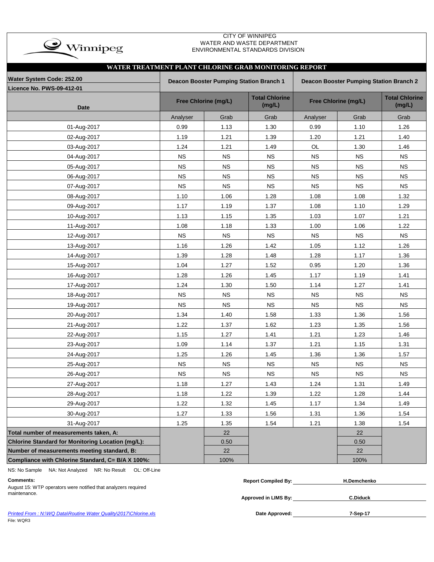

## CITY OF WINNIPEG WATER AND WASTE DEPARTMENT ENVIRONMENTAL STANDARDS DIVISION

| WATER TREATMENT PLANT CHLORINE GRAB MONITORING REPORT |             |                                         |                                 |                                                |                      |                                 |  |  |  |  |  |  |  |
|-------------------------------------------------------|-------------|-----------------------------------------|---------------------------------|------------------------------------------------|----------------------|---------------------------------|--|--|--|--|--|--|--|
| Water System Code: 252.00                             |             | Deacon Booster Pumping Station Branch 1 |                                 | <b>Deacon Booster Pumping Station Branch 2</b> |                      |                                 |  |  |  |  |  |  |  |
| <b>Licence No. PWS-09-412-01</b>                      |             |                                         |                                 |                                                |                      |                                 |  |  |  |  |  |  |  |
| <b>Date</b>                                           |             | Free Chlorine (mg/L)                    | <b>Total Chlorine</b><br>(mg/L) |                                                | Free Chlorine (mg/L) | <b>Total Chlorine</b><br>(mg/L) |  |  |  |  |  |  |  |
|                                                       | Analyser    | Grab                                    | Grab                            | Analyser                                       | Grab                 | Grab                            |  |  |  |  |  |  |  |
| 01-Aug-2017                                           | 0.99        | 1.13                                    | 1.30                            | 0.99                                           | 1.10                 | 1.26                            |  |  |  |  |  |  |  |
| 02-Aug-2017                                           | 1.19        | 1.21                                    | 1.39                            | 1.20                                           | 1.21                 | 1.40                            |  |  |  |  |  |  |  |
| 03-Aug-2017                                           | 1.24        | 1.21                                    | 1.49                            | OL                                             | 1.30                 | 1.46                            |  |  |  |  |  |  |  |
| 04-Aug-2017                                           | $_{\rm NS}$ | <b>NS</b>                               | NS                              | <b>NS</b>                                      | <b>NS</b>            | <b>NS</b>                       |  |  |  |  |  |  |  |
| 05-Aug-2017                                           | <b>NS</b>   | <b>NS</b>                               | <b>NS</b>                       | <b>NS</b>                                      | <b>NS</b>            | <b>NS</b>                       |  |  |  |  |  |  |  |
| 06-Aug-2017                                           | <b>NS</b>   | <b>NS</b>                               | <b>NS</b>                       | <b>NS</b>                                      | <b>NS</b>            | <b>NS</b>                       |  |  |  |  |  |  |  |
| 07-Aug-2017                                           | <b>NS</b>   | <b>NS</b>                               | <b>NS</b>                       | <b>NS</b>                                      | <b>NS</b>            | <b>NS</b>                       |  |  |  |  |  |  |  |
| 08-Aug-2017                                           | 1.10        | 1.06                                    | 1.28                            | 1.08                                           | 1.08                 | 1.32                            |  |  |  |  |  |  |  |
| 09-Aug-2017                                           | 1.17        | 1.19                                    | 1.37                            | 1.08                                           | 1.10                 | 1.29                            |  |  |  |  |  |  |  |
| 10-Aug-2017                                           | 1.13        | 1.15                                    | 1.35                            | 1.03                                           | 1.07                 | 1.21                            |  |  |  |  |  |  |  |
| 11-Aug-2017                                           | 1.08        | 1.18                                    | 1.33                            | 1.00                                           | 1.06                 | 1.22                            |  |  |  |  |  |  |  |
| 12-Aug-2017                                           | <b>NS</b>   | <b>NS</b>                               | <b>NS</b>                       | <b>NS</b>                                      | <b>NS</b>            | <b>NS</b>                       |  |  |  |  |  |  |  |
| 13-Aug-2017                                           | 1.16        | 1.26                                    | 1.42                            | 1.05                                           | 1.12                 | 1.26                            |  |  |  |  |  |  |  |
| 14-Aug-2017                                           | 1.39        | 1.28                                    | 1.48                            | 1.28                                           | 1.17                 | 1.36                            |  |  |  |  |  |  |  |
| 15-Aug-2017                                           | 1.04        | 1.27                                    | 1.52                            | 0.95                                           | 1.20                 | 1.36                            |  |  |  |  |  |  |  |
| 16-Aug-2017                                           | 1.28        | 1.26                                    | 1.45                            | 1.17                                           | 1.19                 | 1.41                            |  |  |  |  |  |  |  |
| 17-Aug-2017                                           | 1.24        | 1.30                                    | 1.50                            | 1.14                                           | 1.27                 | 1.41                            |  |  |  |  |  |  |  |
| 18-Aug-2017                                           | <b>NS</b>   | <b>NS</b>                               | <b>NS</b>                       | <b>NS</b>                                      | <b>NS</b>            | <b>NS</b>                       |  |  |  |  |  |  |  |
| 19-Aug-2017                                           | <b>NS</b>   | <b>NS</b>                               | <b>NS</b>                       | <b>NS</b>                                      | <b>NS</b>            | <b>NS</b>                       |  |  |  |  |  |  |  |
| 20-Aug-2017                                           | 1.34        | 1.40                                    | 1.58                            | 1.33                                           | 1.36                 | 1.56                            |  |  |  |  |  |  |  |
| 21-Aug-2017                                           | 1.22        | 1.37                                    | 1.62                            | 1.23                                           | 1.35                 | 1.56                            |  |  |  |  |  |  |  |
| 22-Aug-2017                                           | 1.15        | 1.27                                    | 1.41                            | 1.21                                           | 1.23                 | 1.46                            |  |  |  |  |  |  |  |
| 23-Aug-2017                                           | 1.09        | 1.14                                    | 1.37                            | 1.21                                           | 1.15                 | 1.31                            |  |  |  |  |  |  |  |
| 24-Aug-2017                                           | 1.25        | 1.26                                    | 1.45                            | 1.36                                           | 1.36                 | 1.57                            |  |  |  |  |  |  |  |
| 25-Aug-2017                                           | <b>NS</b>   | <b>NS</b>                               | <b>NS</b>                       | <b>NS</b>                                      | <b>NS</b>            | <b>NS</b>                       |  |  |  |  |  |  |  |
| 26-Aug-2017                                           | <b>NS</b>   | <b>NS</b>                               | <b>NS</b>                       | NS                                             | NS                   | <b>NS</b>                       |  |  |  |  |  |  |  |
| 27-Aug-2017                                           | 1.18        | 1.27                                    | 1.43                            | 1.24                                           | 1.31                 | 1.49                            |  |  |  |  |  |  |  |
| 28-Aug-2017                                           | 1.18        | 1.22                                    | 1.39                            | 1.22                                           | 1.28                 | 1.44                            |  |  |  |  |  |  |  |
| 29-Aug-2017                                           | 1.22        | 1.32                                    | 1.45                            | 1.17                                           | 1.34                 | 1.49                            |  |  |  |  |  |  |  |
| 30-Aug-2017                                           | 1.27        | 1.33                                    | 1.56                            | 1.31                                           | 1.36                 | 1.54                            |  |  |  |  |  |  |  |
| 31-Aug-2017                                           | 1.25        | 1.35                                    | 1.54                            | 1.21                                           | 1.38                 | 1.54                            |  |  |  |  |  |  |  |
| Total number of measurements taken, A:                |             | 22                                      |                                 |                                                | 22                   |                                 |  |  |  |  |  |  |  |
| Chlorine Standard for Monitoring Location (mg/L):     |             | 0.50                                    |                                 |                                                | 0.50                 |                                 |  |  |  |  |  |  |  |
| Number of measurements meeting standard, B:           |             | 22                                      |                                 |                                                | 22                   |                                 |  |  |  |  |  |  |  |
| Compliance with Chlorine Standard, C= B/A X 100%:     |             | 100%                                    |                                 |                                                | 100%                 |                                 |  |  |  |  |  |  |  |

NS: No Sample NA: Not Analyzed NR: No Result OL: Off-Line

# August 15: WTP operators were notified that analyzers required maintenance.

| <b>Comments:</b>                                               | <b>Report Compiled By:</b> | H.Demchenko     |
|----------------------------------------------------------------|----------------------------|-----------------|
| August 15: WTP operators were notified that analyzers required |                            |                 |
| maintenance.                                                   | Approved in LIMS By:       | <b>C.Diduck</b> |
|                                                                |                            |                 |

Printed From : N:\WQ Data\Routine Water Quality\2017\Chlorine.xls **Date Approved:** Date Approved: File: WQR3

**7-Sep-17**